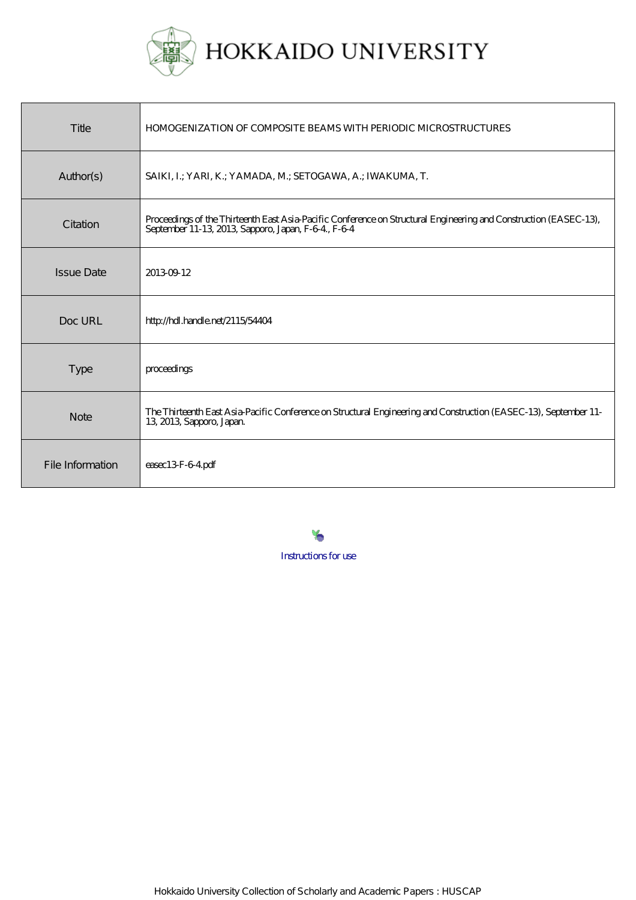

| Title             | <b>HOMOGENIZATION OF COMPOSITE BEAMS WITH PERIODIC MICROSTRUCTURES</b>                                                                                                 |
|-------------------|------------------------------------------------------------------------------------------------------------------------------------------------------------------------|
| Author(s)         | SAIKI, I.; YARI, K.; YAMADA, M.; SETOGAWA, A.; IWAKUMA, T.                                                                                                             |
| Citation          | Proceedings of the Thirteenth East Asia-Pacific Conference on Structural Engineering and Construction (EASEC-13),<br>September 11-13, 2013, Sapporo, Japan, F-64, F-64 |
| <b>Issue Date</b> | 20130912                                                                                                                                                               |
| Doc URL           | http://hdl.handle.net/2115/54404                                                                                                                                       |
| <b>Type</b>       | proceedings                                                                                                                                                            |
| <b>Note</b>       | The Thirteenth East Asia-Pacific Conference on Structural Engineering and Construction (EASEC-13), September 11-<br>13, 2013, Sapporo, Japan.                          |
| File Information  | easec13F-64pdf                                                                                                                                                         |

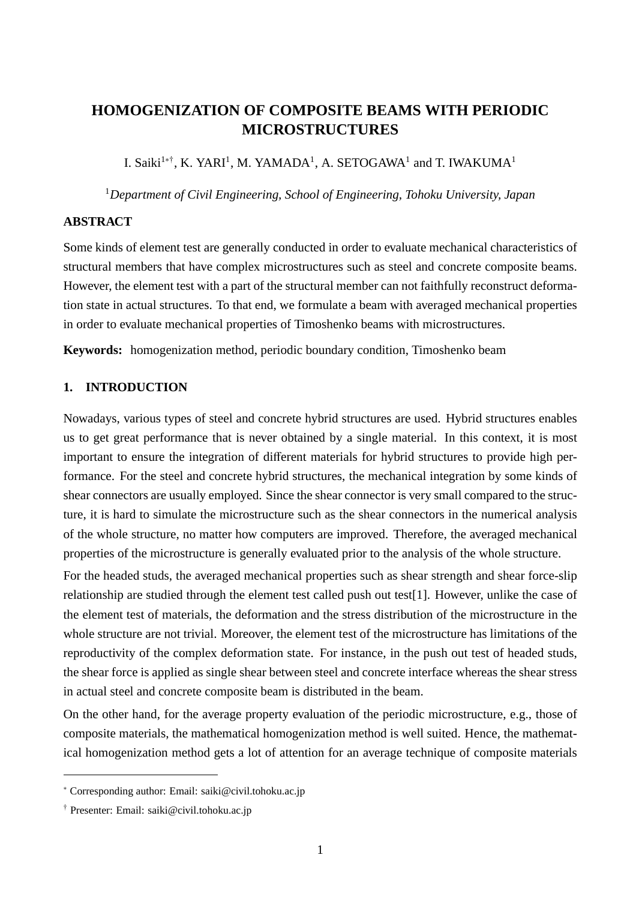# **HOMOGENIZATION OF COMPOSITE BEAMS WITH PERIODIC MICROSTRUCTURES**

I. Saiki<sup>1∗†</sup>, K. YARI<sup>1</sup>, M. YAMADA<sup>1</sup>, A. SETOGAWA<sup>1</sup> and T. IWAKUMA<sup>1</sup>

<sup>1</sup>*Department of Civil Engineering, School of Engineering, Tohoku University, Japan*

## **ABSTRACT**

Some kinds of element test are generally conducted in order to evaluate mechanical characteristics of structural members that have complex microstructures such as steel and concrete composite beams. However, the element test with a part of the structural member can not faithfully reconstruct deformation state in actual structures. To that end, we formulate a beam with averaged mechanical properties in order to evaluate mechanical properties of Timoshenko beams with microstructures.

**Keywords:** homogenization method, periodic boundary condition, Timoshenko beam

## **1. INTRODUCTION**

Nowadays, various types of steel and concrete hybrid structures are used. Hybrid structures enables us to get great performance that is never obtained by a single material. In this context, it is most important to ensure the integration of different materials for hybrid structures to provide high performance. For the steel and concrete hybrid structures, the mechanical integration by some kinds of shear connectors are usually employed. Since the shear connector is very small compared to the structure, it is hard to simulate the microstructure such as the shear connectors in the numerical analysis of the whole structure, no matter how computers are improved. Therefore, the averaged mechanical properties of the microstructure is generally evaluated prior to the analysis of the whole structure.

For the headed studs, the averaged mechanical properties such as shear strength and shear force-slip relationship are studied through the element test called push out test[1]. However, unlike the case of the element test of materials, the deformation and the stress distribution of the microstructure in the whole structure are not trivial. Moreover, the element test of the microstructure has limitations of the reproductivity of the complex deformation state. For instance, in the push out test of headed studs, the shear force is applied as single shear between steel and concrete interface whereas the shear stress in actual steel and concrete composite beam is distributed in the beam.

On the other hand, for the average property evaluation of the periodic microstructure, e.g., those of composite materials, the mathematical homogenization method is well suited. Hence, the mathematical homogenization method gets a lot of attention for an average technique of composite materials

<sup>∗</sup> Corresponding author: Email: saiki@civil.tohoku.ac.jp

<sup>†</sup> Presenter: Email: saiki@civil.tohoku.ac.jp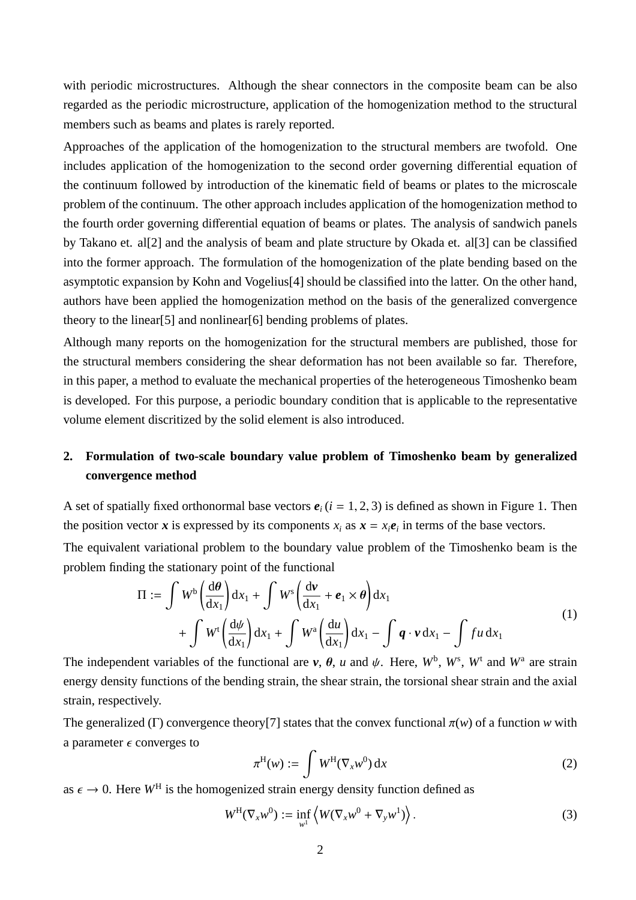with periodic microstructures. Although the shear connectors in the composite beam can be also regarded as the periodic microstructure, application of the homogenization method to the structural members such as beams and plates is rarely reported.

Approaches of the application of the homogenization to the structural members are twofold. One includes application of the homogenization to the second order governing differential equation of the continuum followed by introduction of the kinematic field of beams or plates to the microscale problem of the continuum. The other approach includes application of the homogenization method to the fourth order governing differential equation of beams or plates. The analysis of sandwich panels by Takano et. al[2] and the analysis of beam and plate structure by Okada et. al[3] can be classified into the former approach. The formulation of the homogenization of the plate bending based on the asymptotic expansion by Kohn and Vogelius[4] should be classified into the latter. On the other hand, authors have been applied the homogenization method on the basis of the generalized convergence theory to the linear[5] and nonlinear[6] bending problems of plates.

Although many reports on the homogenization for the structural members are published, those for the structural members considering the shear deformation has not been available so far. Therefore, in this paper, a method to evaluate the mechanical properties of the heterogeneous Timoshenko beam is developed. For this purpose, a periodic boundary condition that is applicable to the representative volume element discritized by the solid element is also introduced.

## **2. Formulation of two-scale boundary value problem of Timoshenko beam by generalized convergence method**

A set of spatially fixed orthonormal base vectors  $e_i$  ( $i = 1, 2, 3$ ) is defined as shown in Figure 1. Then the position vector *x* is expressed by its components  $x_i$  as  $x = x_i e_i$  in terms of the base vectors.

The equivalent variational problem to the boundary value problem of the Timoshenko beam is the problem finding the stationary point of the functional

$$
\Pi := \int W^{b} \left( \frac{d\theta}{dx_{1}} \right) dx_{1} + \int W^{s} \left( \frac{dv}{dx_{1}} + e_{1} \times \theta \right) dx_{1} + \int W^{t} \left( \frac{d\psi}{dx_{1}} \right) dx_{1} + \int W^{a} \left( \frac{du}{dx_{1}} \right) dx_{1} - \int q \cdot v dx_{1} - \int fu dx_{1}
$$
\n(1)

The independent variables of the functional are  $v$ ,  $\theta$ ,  $u$  and  $\psi$ . Here,  $W^{\text{b}}$ ,  $W^{\text{s}}$ ,  $W^{\text{t}}$  and  $W^{\text{a}}$  are strain energy density functions of the bending strain, the shear strain, the torsional shear strain and the axial strain, respectively.

The generalized (Γ) convergence theory<sup>[7]</sup> states that the convex functional  $\pi(w)$  of a function w with a parameter  $\epsilon$  converges to

$$
\pi^{\mathrm{H}}(w) := \int W^{\mathrm{H}}(\nabla_x w^0) \,\mathrm{d}x \tag{2}
$$

as  $\epsilon \to 0$ . Here  $W^H$  is the homogenized strain energy density function defined as

$$
W^{\mathrm{H}}(\nabla_x w^0) := \inf_{w^1} \left\langle W(\nabla_x w^0 + \nabla_y w^1) \right\rangle. \tag{3}
$$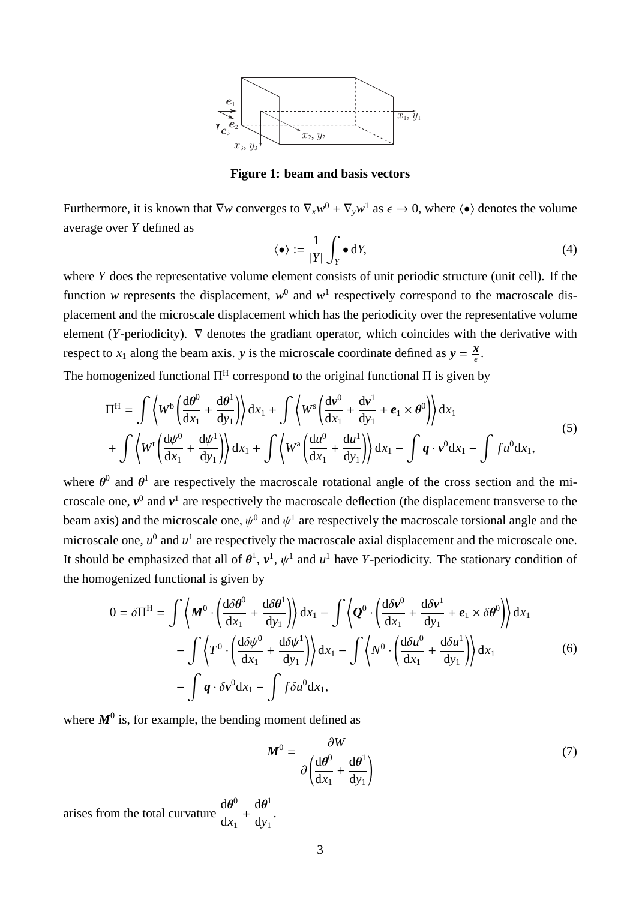

**Figure 1: beam and basis vectors**

Furthermore, it is known that  $\nabla w$  converges to  $\nabla_x w^0 + \nabla_y w^1$  as  $\epsilon \to 0$ , where  $\langle \bullet \rangle$  denotes the volume average over *Y* defined as

$$
\langle \bullet \rangle := \frac{1}{|Y|} \int_Y \bullet \, \mathrm{d}Y,\tag{4}
$$

where *Y* does the representative volume element consists of unit periodic structure (unit cell). If the function *w* represents the displacement,  $w^0$  and  $w^1$  respectively correspond to the macroscale displacement and the microscale displacement which has the periodicity over the representative volume element (*Y*-periodicity).  $\nabla$  denotes the gradiant operator, which coincides with the derivative with respect to  $x_1$  along the beam axis. *y* is the microscale coordinate defined as  $y = \frac{x}{\epsilon}$ .

The homogenized functional  $\Pi^H$  correspond to the original functional  $\Pi$  is given by

$$
\Pi^{\mathrm{H}} = \int \left\langle W^{\mathrm{b}} \left( \frac{\mathrm{d}\theta^{0}}{\mathrm{d}x_{1}} + \frac{\mathrm{d}\theta^{1}}{\mathrm{d}y_{1}} \right) \right\rangle \mathrm{d}x_{1} + \int \left\langle W^{\mathrm{s}} \left( \frac{\mathrm{d}v^{0}}{\mathrm{d}x_{1}} + \frac{\mathrm{d}v^{1}}{\mathrm{d}y_{1}} + e_{1} \times \theta^{0} \right) \right\rangle \mathrm{d}x_{1} + \int \left\langle W^{\mathrm{t}} \left( \frac{\mathrm{d}\psi^{0}}{\mathrm{d}x_{1}} + \frac{\mathrm{d}\psi^{1}}{\mathrm{d}y_{1}} \right) \right\rangle \mathrm{d}x_{1} + \int \left\langle W^{\mathrm{a}} \left( \frac{\mathrm{d}u^{0}}{\mathrm{d}x_{1}} + \frac{\mathrm{d}u^{1}}{\mathrm{d}y_{1}} \right) \right\rangle \mathrm{d}x_{1} - \int q \cdot v^{0} \mathrm{d}x_{1} - \int f u^{0} \mathrm{d}x_{1}, \tag{5}
$$

where  $\theta^0$  and  $\theta^1$  are respectively the macroscale rotational angle of the cross section and the microscale one,  $v^0$  and  $v^1$  are respectively the macroscale deflection (the displacement transverse to the beam axis) and the microscale one,  $\psi^0$  and  $\psi^1$  are respectively the macroscale torsional angle and the microscale one,  $u^0$  and  $u^1$  are respectively the macroscale axial displacement and the microscale one. It should be emphasized that all of  $\theta^1$ ,  $v^1$ ,  $\psi^1$  and  $u^1$  have *Y*-periodicity. The stationary condition of the homogenized functional is given by

$$
0 = \delta \Pi^{H} = \int \left\langle M^{0} \cdot \left( \frac{d \delta \theta^{0}}{dx_{1}} + \frac{d \delta \theta^{1}}{dy_{1}} \right) \right\rangle dx_{1} - \int \left\langle Q^{0} \cdot \left( \frac{d \delta v^{0}}{dx_{1}} + \frac{d \delta v^{1}}{dy_{1}} + e_{1} \times \delta \theta^{0} \right) \right\rangle dx_{1} - \int \left\langle T^{0} \cdot \left( \frac{d \delta \psi^{0}}{dx_{1}} + \frac{d \delta \psi^{1}}{dy_{1}} \right) \right\rangle dx_{1} - \int \left\langle N^{0} \cdot \left( \frac{d \delta u^{0}}{dx_{1}} + \frac{d \delta u^{1}}{dy_{1}} \right) \right\rangle dx_{1} - \int q \cdot \delta v^{0} dx_{1} - \int f \delta u^{0} dx_{1}, \qquad (6)
$$

where  $M^0$  is, for example, the bending moment defined as

$$
\mathbf{M}^{0} = \frac{\partial W}{\partial \left(\frac{\mathrm{d}\theta^{0}}{\mathrm{d}x_{1}} + \frac{\mathrm{d}\theta^{1}}{\mathrm{d}y_{1}}\right)}
$$
(7)

arises from the total curvature  $\frac{d\theta^0}{dt}$  $\frac{d\theta}{dx_1}$  +  ${\rm d}\bm{\theta}^1$ d*y*<sup>1</sup> .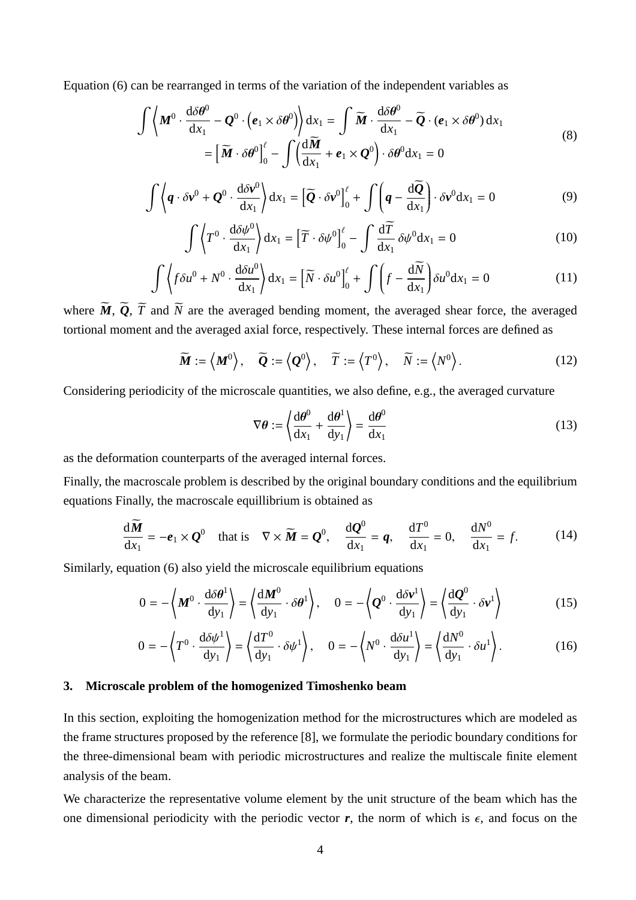Equation (6) can be rearranged in terms of the variation of the independent variables as

$$
\int \left\langle M^{0} \cdot \frac{d\delta \theta^{0}}{dx_{1}} - Q^{0} \cdot (e_{1} \times \delta \theta^{0}) \right\rangle dx_{1} = \int \widetilde{M} \cdot \frac{d\delta \theta^{0}}{dx_{1}} - \widetilde{Q} \cdot (e_{1} \times \delta \theta^{0}) dx_{1}
$$
\n
$$
= \left[ \widetilde{M} \cdot \delta \theta^{0} \right]_{0}^{l} - \int \left( \frac{d\widetilde{M}}{dx_{1}} + e_{1} \times Q^{0} \right) \cdot \delta \theta^{0} dx_{1} = 0
$$
\n(8)

$$
\int \left\langle \boldsymbol{q} \cdot \delta \boldsymbol{v}^0 + \boldsymbol{Q}^0 \cdot \frac{d \delta \boldsymbol{v}^0}{dx_1} \right\rangle dx_1 = \left[ \widetilde{\boldsymbol{Q}} \cdot \delta \boldsymbol{v}^0 \right]_0^{\ell} + \int \left( \boldsymbol{q} - \frac{d \widetilde{\boldsymbol{Q}}}{dx_1} \right) \cdot \delta \boldsymbol{v}^0 dx_1 = 0 \tag{9}
$$

$$
\int \left\langle T^{0} \cdot \frac{d\delta \psi^{0}}{dx_{1}} \right\rangle dx_{1} = \left[ \widetilde{T} \cdot \delta \psi^{0} \right]_{0}^{\ell} - \int \frac{d\widetilde{T}}{dx_{1}} \delta \psi^{0} dx_{1} = 0 \tag{10}
$$

$$
\int \left\langle f \delta u^0 + N^0 \cdot \frac{d \delta u^0}{dx_1} \right\rangle dx_1 = \left[ \widetilde{N} \cdot \delta u^0 \right]_0^{\ell} + \int \left( f - \frac{d \widetilde{N}}{dx_1} \right) \delta u^0 dx_1 = 0 \tag{11}
$$

where  $\widetilde{M}$ ,  $\widetilde{Q}$ ,  $\widetilde{T}$  and  $\widetilde{N}$  are the averaged bending moment, the averaged shear force, the averaged tortional moment and the averaged axial force, respectively. These internal forces are defined as

$$
\widetilde{\boldsymbol{M}} := \left\langle \boldsymbol{M}^0 \right\rangle, \quad \widetilde{\boldsymbol{Q}} := \left\langle \boldsymbol{Q}^0 \right\rangle, \quad \widetilde{T} := \left\langle T^0 \right\rangle, \quad \widetilde{N} := \left\langle N^0 \right\rangle. \tag{12}
$$

Considering periodicity of the microscale quantities, we also define, e.g., the averaged curvature

$$
\nabla \theta := \left\langle \frac{\mathrm{d}\theta^0}{\mathrm{d}x_1} + \frac{\mathrm{d}\theta^1}{\mathrm{d}y_1} \right\rangle = \frac{\mathrm{d}\theta^0}{\mathrm{d}x_1} \tag{13}
$$

as the deformation counterparts of the averaged internal forces.

Finally, the macroscale problem is described by the original boundary conditions and the equilibrium equations Finally, the macroscale equillibrium is obtained as

$$
\frac{d\widetilde{M}}{dx_1} = -e_1 \times Q^0 \quad \text{that is} \quad \nabla \times \widetilde{M} = Q^0, \quad \frac{dQ^0}{dx_1} = q, \quad \frac{dT^0}{dx_1} = 0, \quad \frac{dN^0}{dx_1} = f. \tag{14}
$$

Similarly, equation (6) also yield the microscale equilibrium equations

$$
0 = -\left\langle M^{0} \cdot \frac{d\delta \theta^{1}}{dy_{1}} \right\rangle = \left\langle \frac{dM^{0}}{dy_{1}} \cdot \delta \theta^{1} \right\rangle, \quad 0 = -\left\langle Q^{0} \cdot \frac{d\delta v^{1}}{dy_{1}} \right\rangle = \left\langle \frac{dQ^{0}}{dy_{1}} \cdot \delta v^{1} \right\rangle
$$
(15)

$$
0 = -\left\langle T^0 \cdot \frac{d\delta\psi^1}{dy_1} \right\rangle = \left\langle \frac{dT^0}{dy_1} \cdot \delta\psi^1 \right\rangle, \quad 0 = -\left\langle N^0 \cdot \frac{d\delta u^1}{dy_1} \right\rangle = \left\langle \frac{dN^0}{dy_1} \cdot \delta u^1 \right\rangle. \tag{16}
$$

#### **3. Microscale problem of the homogenized Timoshenko beam**

In this section, exploiting the homogenization method for the microstructures which are modeled as the frame structures proposed by the reference [8], we formulate the periodic boundary conditions for the three-dimensional beam with periodic microstructures and realize the multiscale finite element analysis of the beam.

We characterize the representative volume element by the unit structure of the beam which has the one dimensional periodicity with the periodic vector  $r$ , the norm of which is  $\epsilon$ , and focus on the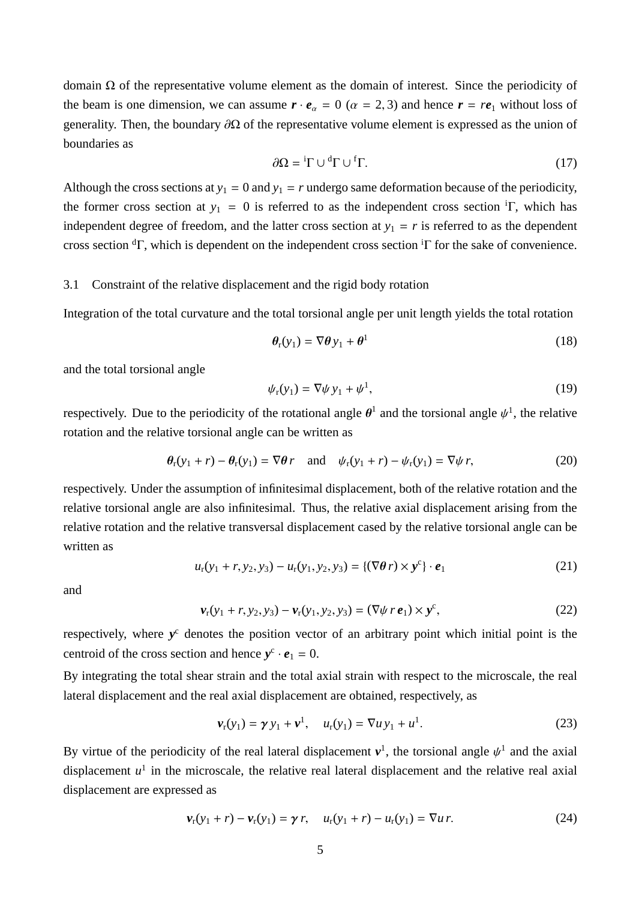domain Ω of the representative volume element as the domain of interest. Since the periodicity of the beam is one dimension, we can assume  $\mathbf{r} \cdot \mathbf{e}_{\alpha} = 0$  ( $\alpha = 2, 3$ ) and hence  $\mathbf{r} = r\mathbf{e}_1$  without loss of generality. Then, the boundary  $\partial\Omega$  of the representative volume element is expressed as the union of boundaries as

$$
\partial \Omega = {}^{i}\Gamma \cup {}^{d}\Gamma \cup {}^{f}\Gamma. \tag{17}
$$

Although the cross sections at  $y_1 = 0$  and  $y_1 = r$  undergo same deformation because of the periodicity, the former cross section at  $y_1 = 0$  is referred to as the independent cross section <sup>i</sup>Γ, which has independent degree of freedom, and the latter cross section at  $y_1 = r$  is referred to as the dependent cross section  ${}^{d}\Gamma$ , which is dependent on the independent cross section  ${}^{i}\Gamma$  for the sake of convenience.

#### 3.1 Constraint of the relative displacement and the rigid body rotation

Integration of the total curvature and the total torsional angle per unit length yields the total rotation

$$
\theta_{\rm r}(y_1) = \nabla \theta \, y_1 + \theta^1 \tag{18}
$$

and the total torsional angle

$$
\psi_{\rm r}(y_1) = \nabla \psi \, y_1 + \psi^1,\tag{19}
$$

respectively. Due to the periodicity of the rotational angle  $\theta^1$  and the torsional angle  $\psi^1$ , the relative rotation and the relative torsional angle can be written as

$$
\theta_r(y_1+r) - \theta_r(y_1) = \nabla\theta \, r \quad \text{and} \quad \psi_r(y_1+r) - \psi_r(y_1) = \nabla\psi \, r,\tag{20}
$$

respectively. Under the assumption of infinitesimal displacement, both of the relative rotation and the relative torsional angle are also infinitesimal. Thus, the relative axial displacement arising from the relative rotation and the relative transversal displacement cased by the relative torsional angle can be written as

$$
u_{r}(y_{1} + r, y_{2}, y_{3}) - u_{r}(y_{1}, y_{2}, y_{3}) = \{(\nabla \theta r) \times y^{c}\} \cdot e_{1}
$$
 (21)

and

$$
\mathbf{v}_{r}(y_{1} + r, y_{2}, y_{3}) - \mathbf{v}_{r}(y_{1}, y_{2}, y_{3}) = (\nabla \psi \, r \, \mathbf{e}_{1}) \times \mathbf{y}^{c}, \tag{22}
$$

respectively, where y<sup>c</sup> denotes the position vector of an arbitrary point which initial point is the centroid of the cross section and hence  $y^c \cdot e_1 = 0$ .

By integrating the total shear strain and the total axial strain with respect to the microscale, the real lateral displacement and the real axial displacement are obtained, respectively, as

$$
\nu_{r}(y_{1}) = \gamma y_{1} + \nu^{1}, \quad u_{r}(y_{1}) = \nabla u y_{1} + u^{1}.
$$
 (23)

By virtue of the periodicity of the real lateral displacement  $v^1$ , the torsional angle  $\psi^1$  and the axial displacement  $u^1$  in the microscale, the relative real lateral displacement and the relative real axial displacement are expressed as

$$
\nu_{r}(y_{1} + r) - \nu_{r}(y_{1}) = \gamma r, \quad u_{r}(y_{1} + r) - u_{r}(y_{1}) = \nabla u r.
$$
 (24)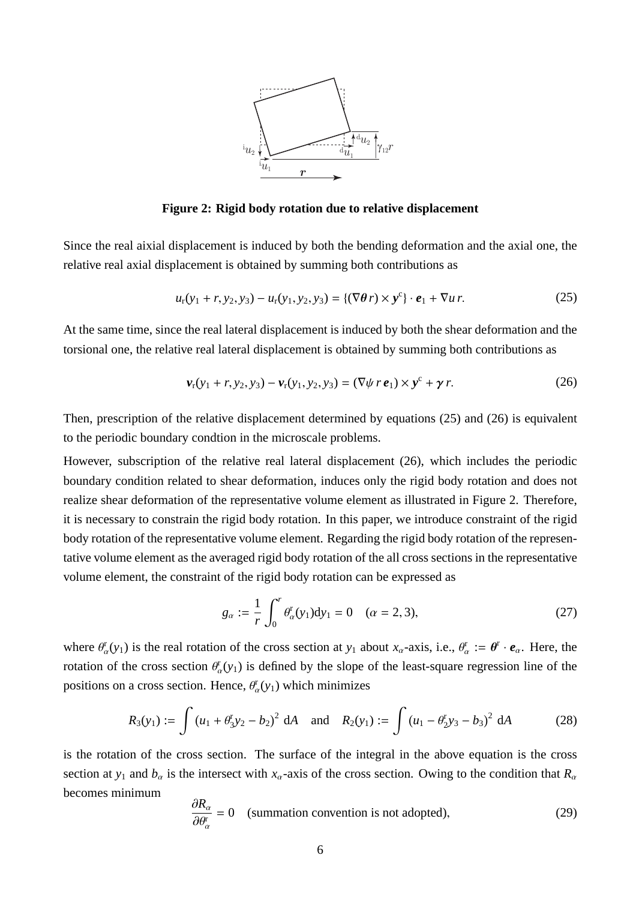

**Figure 2: Rigid body rotation due to relative displacement**

Since the real aixial displacement is induced by both the bending deformation and the axial one, the relative real axial displacement is obtained by summing both contributions as

$$
u_{r}(y_{1} + r, y_{2}, y_{3}) - u_{r}(y_{1}, y_{2}, y_{3}) = \{(\nabla \theta r) \times y^{c}\} \cdot e_{1} + \nabla u r.
$$
 (25)

At the same time, since the real lateral displacement is induced by both the shear deformation and the torsional one, the relative real lateral displacement is obtained by summing both contributions as

$$
\mathbf{v}_{r}(y_{1} + r, y_{2}, y_{3}) - \mathbf{v}_{r}(y_{1}, y_{2}, y_{3}) = (\nabla \psi \, r \, \mathbf{e}_{1}) \times \mathbf{y}^{c} + \gamma \, r. \tag{26}
$$

Then, prescription of the relative displacement determined by equations (25) and (26) is equivalent to the periodic boundary condtion in the microscale problems.

However, subscription of the relative real lateral displacement (26), which includes the periodic boundary condition related to shear deformation, induces only the rigid body rotation and does not realize shear deformation of the representative volume element as illustrated in Figure 2. Therefore, it is necessary to constrain the rigid body rotation. In this paper, we introduce constraint of the rigid body rotation of the representative volume element. Regarding the rigid body rotation of the representative volume element as the averaged rigid body rotation of the all cross sections in the representative volume element, the constraint of the rigid body rotation can be expressed as

$$
g_{\alpha} := \frac{1}{r} \int_0^r \theta_{\alpha}^r(y_1) dy_1 = 0 \quad (\alpha = 2, 3), \tag{27}
$$

where  $\theta_{\alpha}^{r}(y_1)$  is the real rotation of the cross section at  $y_1$  about  $x_{\alpha}$ -axis, i.e.,  $\theta_{\alpha}^{r} := \theta^{r} \cdot e_{\alpha}$ . Here, the rotation of the cross section  $\theta_{\alpha}(y_1)$  is defined by the slope of the least-square regression line of the positions on a cross section. Hence,  $\theta_{\alpha}^{r}(y_1)$  which minimizes

$$
R_3(y_1) := \int (u_1 + \theta_3^r y_2 - b_2)^2 dA \quad \text{and} \quad R_2(y_1) := \int (u_1 - \theta_2^r y_3 - b_3)^2 dA \tag{28}
$$

is the rotation of the cross section. The surface of the integral in the above equation is the cross section at  $y_1$  and  $b_\alpha$  is the intersect with  $x_\alpha$ -axis of the cross section. Owing to the condition that  $R_\alpha$ becomes minimum

$$
\frac{\partial R_{\alpha}}{\partial \theta_{\alpha}^{r}} = 0 \quad \text{(summation convention is not adopted)}, \tag{29}
$$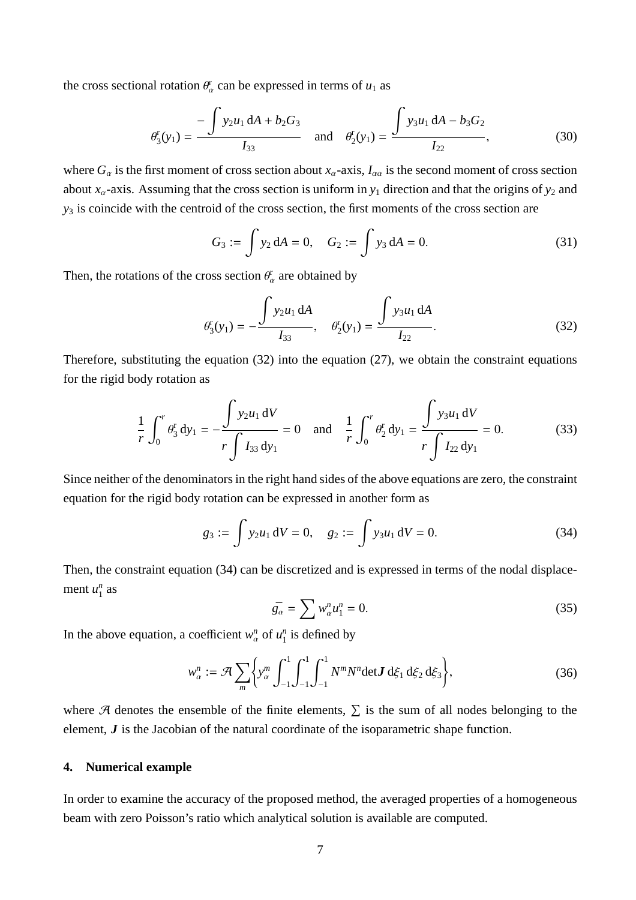the cross sectional rotation  $\theta_{\alpha}^{\rm r}$  can be expressed in terms of  $u_1$  as

$$
\theta_3^r(y_1) = \frac{-\int y_2 u_1 dA + b_2 G_3}{I_{33}} \quad \text{and} \quad \theta_2^r(y_1) = \frac{\int y_3 u_1 dA - b_3 G_2}{I_{22}},
$$
 (30)

where  $G_\alpha$  is the first moment of cross section about  $x_\alpha$ -axis,  $I_{\alpha\alpha}$  is the second moment of cross section about  $x_\alpha$ -axis. Assuming that the cross section is uniform in  $y_1$  direction and that the origins of  $y_2$  and *y*<sup>3</sup> is coincide with the centroid of the cross section, the first moments of the cross section are

$$
G_3 := \int y_2 \, dA = 0, \quad G_2 := \int y_3 \, dA = 0. \tag{31}
$$

Then, the rotations of the cross section  $\theta_{\alpha}^{r}$  are obtained by

$$
\theta_3^{\mathbf{r}}(y_1) = -\frac{\int y_2 u_1 \, dA}{I_{33}}, \quad \theta_2^{\mathbf{r}}(y_1) = \frac{\int y_3 u_1 \, dA}{I_{22}}.
$$
\n(32)

Therefore, substituting the equation (32) into the equation (27), we obtain the constraint equations for the rigid body rotation as

$$
\frac{1}{r} \int_0^r \theta_3^r dy_1 = -\frac{\int y_2 u_1 dV}{r \int I_{33} dy_1} = 0 \text{ and } \frac{1}{r} \int_0^r \theta_2^r dy_1 = \frac{\int y_3 u_1 dV}{r \int I_{22} dy_1} = 0.
$$
 (33)

Since neither of the denominators in the right hand sides of the above equations are zero, the constraint equation for the rigid body rotation can be expressed in another form as

$$
g_3 := \int y_2 u_1 \, dV = 0, \quad g_2 := \int y_3 u_1 \, dV = 0. \tag{34}
$$

Then, the constraint equation (34) can be discretized and is expressed in terms of the nodal displacement  $u_1^n$  $\int_1^n$  as

$$
\bar{g}_{\alpha} = \sum w_{\alpha}^{n} u_{1}^{n} = 0. \qquad (35)
$$

In the above equation, a coefficient  $w_\alpha^n$  of  $u_1^n$  $\frac{n}{1}$  is defined by

$$
w_{\alpha}^{n} := \mathcal{A} \sum_{m} \left\{ y_{\alpha}^{m} \int_{-1}^{1} \int_{-1}^{1} \int_{-1}^{1} N^{m} N^{n} \det \mathbf{J} d\xi_{1} d\xi_{2} d\xi_{3} \right\},
$$
 (36)

where  $\mathcal A$  denotes the ensemble of the finite elements,  $\Sigma$  is the sum of all nodes belonging to the element, *J* is the Jacobian of the natural coordinate of the isoparametric shape function.

## **4. Numerical example**

In order to examine the accuracy of the proposed method, the averaged properties of a homogeneous beam with zero Poisson's ratio which analytical solution is available are computed.